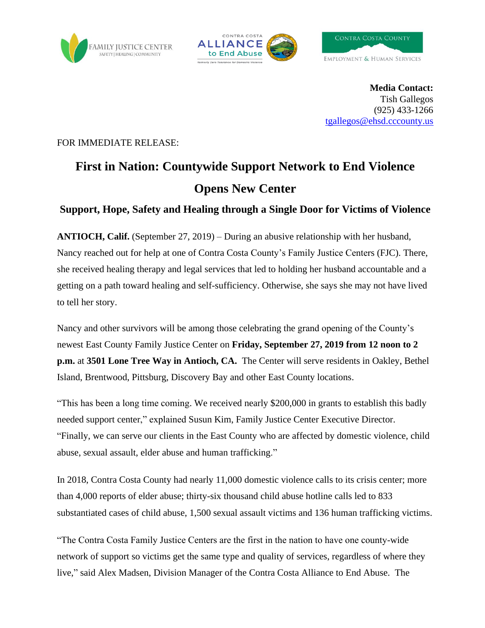





**Media Contact:** Tish Gallegos (925) 433-1266 [tgallegos@ehsd.cccounty.us](mailto:tgallegos@ehsd.cccounty.us)

FOR IMMEDIATE RELEASE:

# **First in Nation: Countywide Support Network to End Violence Opens New Center**

### **Support, Hope, Safety and Healing through a Single Door for Victims of Violence**

**ANTIOCH, Calif.** (September 27, 2019) – During an abusive relationship with her husband, Nancy reached out for help at one of Contra Costa County's Family Justice Centers (FJC). There, she received healing therapy and legal services that led to holding her husband accountable and a getting on a path toward healing and self-sufficiency. Otherwise, she says she may not have lived to tell her story.

Nancy and other survivors will be among those celebrating the grand opening of the County's newest East County Family Justice Center on **Friday, September 27, 2019 from 12 noon to 2 p.m.** at **3501 Lone Tree Way in Antioch, CA.** The Center will serve residents in Oakley, Bethel Island, Brentwood, Pittsburg, Discovery Bay and other East County locations.

"This has been a long time coming. We received nearly \$200,000 in grants to establish this badly needed support center," explained Susun Kim, Family Justice Center Executive Director. "Finally, we can serve our clients in the East County who are affected by domestic violence, child abuse, sexual assault, elder abuse and human trafficking."

In 2018, Contra Costa County had nearly 11,000 domestic violence calls to its crisis center; more than 4,000 reports of elder abuse; thirty-six thousand child abuse hotline calls led to 833 substantiated cases of child abuse, 1,500 sexual assault victims and 136 human trafficking victims.

"The Contra Costa Family Justice Centers are the first in the nation to have one county-wide network of support so victims get the same type and quality of services, regardless of where they live," said Alex Madsen, Division Manager of the Contra Costa Alliance to End Abuse. The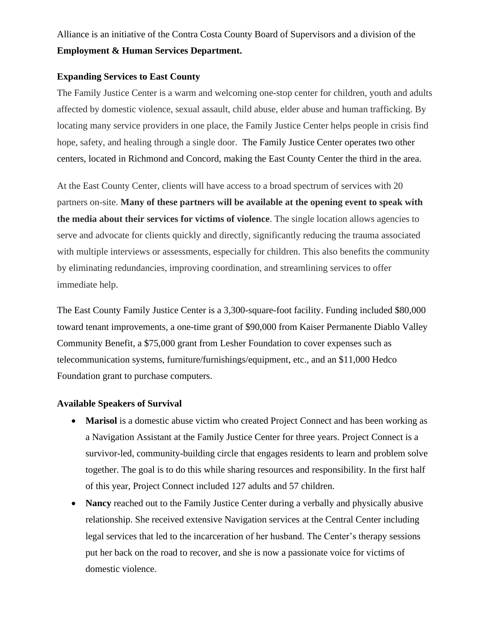## Alliance is an initiative of the Contra Costa County Board of Supervisors and a division of the **Employment & Human Services Department.**

#### **Expanding Services to East County**

The Family Justice Center is a warm and welcoming one-stop center for children, youth and adults affected by domestic violence, sexual assault, child abuse, elder abuse and human trafficking. By locating many service providers in one place, the Family Justice Center helps people in crisis find hope, safety, and healing through a single door. The Family Justice Center operates two other centers, located in Richmond and Concord, making the East County Center the third in the area.

At the East County Center, clients will have access to a broad spectrum of services with 20 partners on-site. **Many of these partners will be available at the opening event to speak with the media about their services for victims of violence**. The single location allows agencies to serve and advocate for clients quickly and directly, significantly reducing the trauma associated with multiple interviews or assessments, especially for children. This also benefits the community by eliminating redundancies, improving coordination, and streamlining services to offer immediate help.

The East County Family Justice Center is a 3,300-square-foot facility. Funding included \$80,000 toward tenant improvements, a one-time grant of \$90,000 from Kaiser Permanente Diablo Valley Community Benefit, a \$75,000 grant from Lesher Foundation to cover expenses such as telecommunication systems, furniture/furnishings/equipment, etc., and an \$11,000 Hedco Foundation grant to purchase computers.

#### **Available Speakers of Survival**

- **Marisol** is a domestic abuse victim who created Project Connect and has been working as a Navigation Assistant at the Family Justice Center for three years. Project Connect is a survivor-led, community-building circle that engages residents to learn and problem solve together. The goal is to do this while sharing resources and responsibility. In the first half of this year, Project Connect included 127 adults and 57 children.
- **Nancy** reached out to the Family Justice Center during a verbally and physically abusive relationship. She received extensive Navigation services at the Central Center including legal services that led to the incarceration of her husband. The Center's therapy sessions put her back on the road to recover, and she is now a passionate voice for victims of domestic violence.